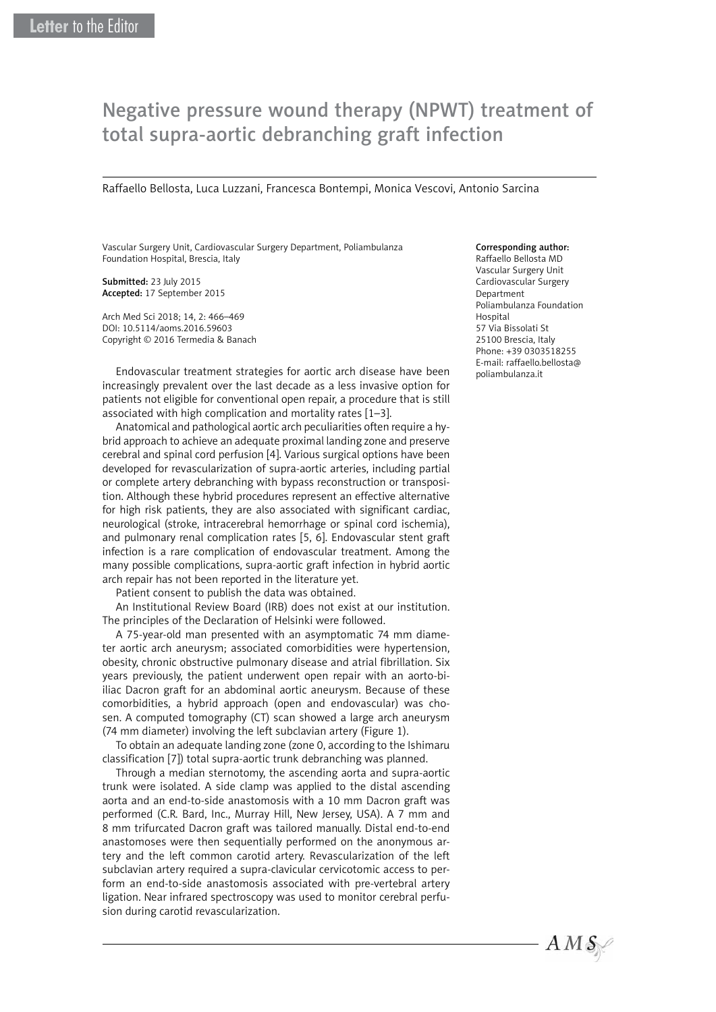## Negative pressure wound therapy (NPWT) treatment of total supra-aortic debranching graft infection

Raffaello Bellosta, Luca Luzzani, Francesca Bontempi, Monica Vescovi, Antonio Sarcina

Vascular Surgery Unit, Cardiovascular Surgery Department, Poliambulanza Foundation Hospital, Brescia, Italy

Submitted: 23 July 2015 Accepted: 17 September 2015

Arch Med Sci 2018; 14, 2: 466–469 DOI: 10.5114/aoms.2016.59603 Copyright © 2016 Termedia & Banach

Endovascular treatment strategies for aortic arch disease have been increasingly prevalent over the last decade as a less invasive option for patients not eligible for conventional open repair, a procedure that is still associated with high complication and mortality rates [1–3].

Anatomical and pathological aortic arch peculiarities often require a hybrid approach to achieve an adequate proximal landing zone and preserve cerebral and spinal cord perfusion [4]. Various surgical options have been developed for revascularization of supra-aortic arteries, including partial or complete artery debranching with bypass reconstruction or transposition. Although these hybrid procedures represent an effective alternative for high risk patients, they are also associated with significant cardiac, neurological (stroke, intracerebral hemorrhage or spinal cord ischemia), and pulmonary renal complication rates [5, 6]. Endovascular stent graft infection is a rare complication of endovascular treatment. Among the many possible complications, supra-aortic graft infection in hybrid aortic arch repair has not been reported in the literature yet.

Patient consent to publish the data was obtained.

An Institutional Review Board (IRB) does not exist at our institution. The principles of the Declaration of Helsinki were followed.

A 75-year-old man presented with an asymptomatic 74 mm diameter aortic arch aneurysm; associated comorbidities were hypertension, obesity, chronic obstructive pulmonary disease and atrial fibrillation. Six years previously, the patient underwent open repair with an aorto-biiliac Dacron graft for an abdominal aortic aneurysm. Because of these comorbidities, a hybrid approach (open and endovascular) was chosen. A computed tomography (CT) scan showed a large arch aneurysm (74 mm diameter) involving the left subclavian artery (Figure 1).

To obtain an adequate landing zone (zone 0, according to the Ishimaru classification [7]) total supra-aortic trunk debranching was planned.

Through a median sternotomy, the ascending aorta and supra-aortic trunk were isolated. A side clamp was applied to the distal ascending aorta and an end-to-side anastomosis with a 10 mm Dacron graft was performed (C.R. Bard, Inc., Murray Hill, New Jersey, USA). A 7 mm and 8 mm trifurcated Dacron graft was tailored manually. Distal end-to-end anastomoses were then sequentially performed on the anonymous artery and the left common carotid artery. Revascularization of the left subclavian artery required a supra-clavicular cervicotomic access to perform an end-to-side anastomosis associated with pre-vertebral artery ligation. Near infrared spectroscopy was used to monitor cerebral perfusion during carotid revascularization.

## Corresponding author:

Raffaello Bellosta MD Vascular Surgery Unit Cardiovascular Surgery Department Poliambulanza Foundation Hospital 57 Via Bissolati St 25100 Brescia, Italy Phone: +39 0303518255 E-mail: raffaello.bellosta@ poliambulanza.it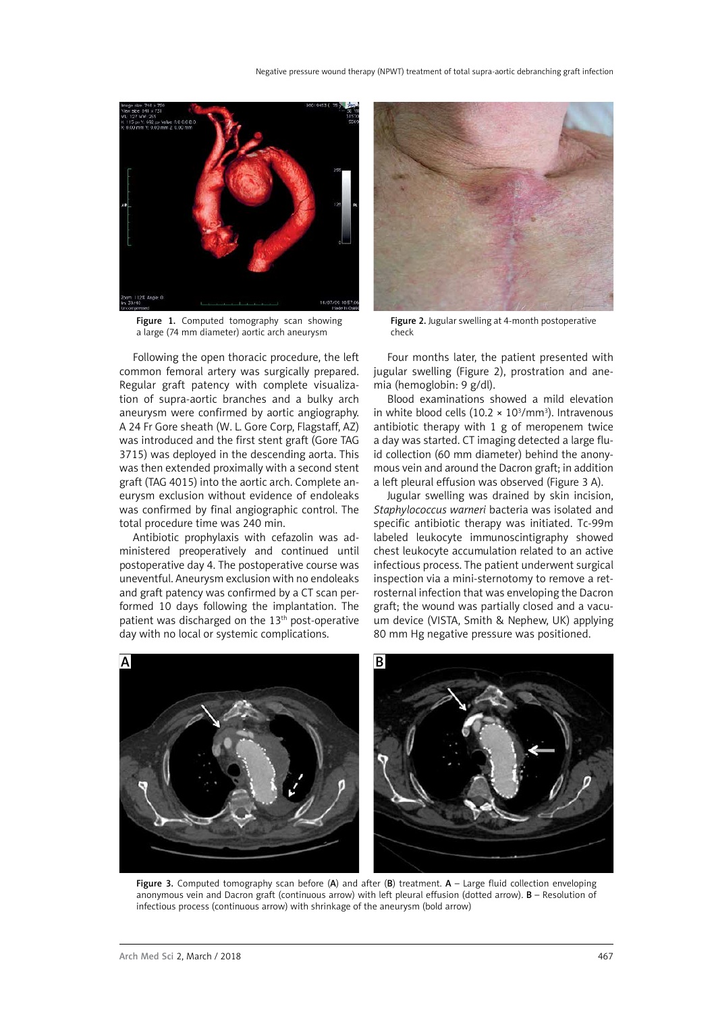

Figure 1. Computed tomography scan showing a large (74 mm diameter) aortic arch aneurysm

Following the open thoracic procedure, the left common femoral artery was surgically prepared. Regular graft patency with complete visualization of supra-aortic branches and a bulky arch aneurysm were confirmed by aortic angiography. A 24 Fr Gore sheath (W. L. Gore Corp, Flagstaff, AZ) was introduced and the first stent graft (Gore TAG 3715) was deployed in the descending aorta. This was then extended proximally with a second stent graft (TAG 4015) into the aortic arch. Complete aneurysm exclusion without evidence of endoleaks was confirmed by final angiographic control. The total procedure time was 240 min.

Antibiotic prophylaxis with cefazolin was administered preoperatively and continued until postoperative day 4. The postoperative course was uneventful. Aneurysm exclusion with no endoleaks and graft patency was confirmed by a CT scan performed 10 days following the implantation. The patient was discharged on the 13th post-operative day with no local or systemic complications.



Figure 2. Jugular swelling at 4-month postoperative check

Four months later, the patient presented with jugular swelling (Figure 2), prostration and anemia (hemoglobin: 9 g/dl).

Blood examinations showed a mild elevation in white blood cells  $(10.2 \times 10^3/\text{mm}^3)$ . Intravenous antibiotic therapy with 1 g of meropenem twice a day was started. CT imaging detected a large fluid collection (60 mm diameter) behind the anonymous vein and around the Dacron graft; in addition a left pleural effusion was observed (Figure 3 A).

Jugular swelling was drained by skin incision, *Staphylococcus warneri* bacteria was isolated and specific antibiotic therapy was initiated. Tc-99m labeled leukocyte immunoscintigraphy showed chest leukocyte accumulation related to an active infectious process. The patient underwent surgical inspection via a mini-sternotomy to remove a retrosternal infection that was enveloping the Dacron graft; the wound was partially closed and a vacuum device (VISTA, Smith & Nephew, UK) applying 80 mm Hg negative pressure was positioned.



Figure 3. Computed tomography scan before  $(A)$  and after  $(B)$  treatment.  $A -$  Large fluid collection enveloping anonymous vein and Dacron graft (continuous arrow) with left pleural effusion (dotted arrow). B – Resolution of infectious process (continuous arrow) with shrinkage of the aneurysm (bold arrow)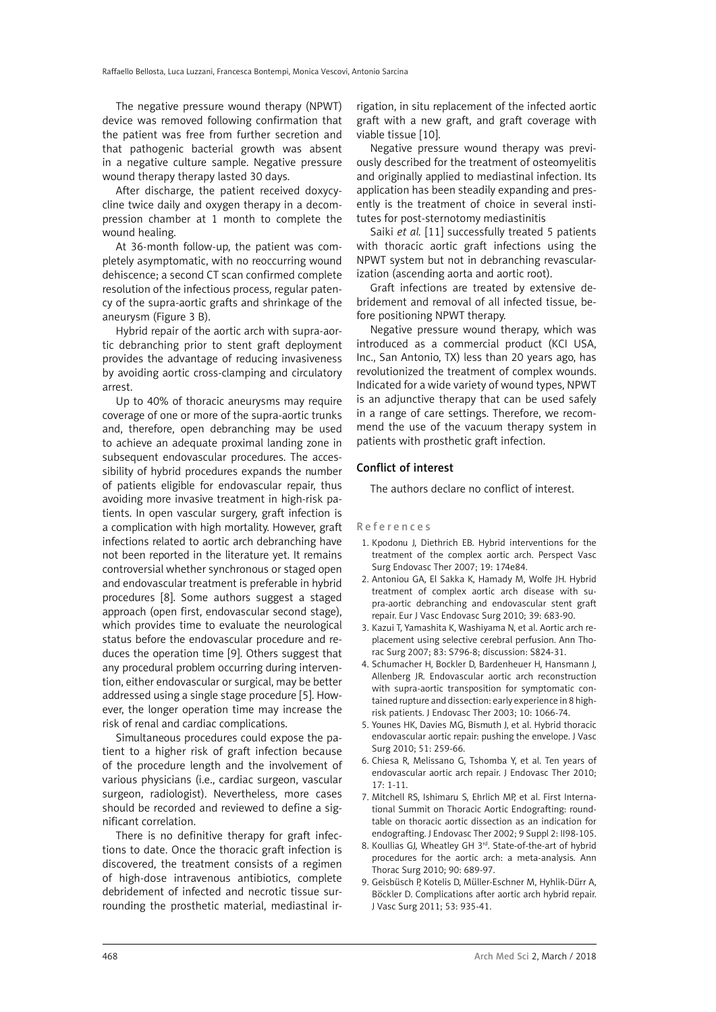The negative pressure wound therapy (NPWT) device was removed following confirmation that the patient was free from further secretion and that pathogenic bacterial growth was absent in a negative culture sample. Negative pressure wound therapy therapy lasted 30 days.

After discharge, the patient received doxycycline twice daily and oxygen therapy in a decompression chamber at 1 month to complete the wound healing.

At 36-month follow-up, the patient was completely asymptomatic, with no reoccurring wound dehiscence; a second CT scan confirmed complete resolution of the infectious process, regular patency of the supra-aortic grafts and shrinkage of the aneurysm (Figure 3 B).

Hybrid repair of the aortic arch with supra-aortic debranching prior to stent graft deployment provides the advantage of reducing invasiveness by avoiding aortic cross-clamping and circulatory arrest.

Up to 40% of thoracic aneurysms may require coverage of one or more of the supra-aortic trunks and, therefore, open debranching may be used to achieve an adequate proximal landing zone in subsequent endovascular procedures. The accessibility of hybrid procedures expands the number of patients eligible for endovascular repair, thus avoiding more invasive treatment in high-risk patients. In open vascular surgery, graft infection is a complication with high mortality. However, graft infections related to aortic arch debranching have not been reported in the literature yet. It remains controversial whether synchronous or staged open and endovascular treatment is preferable in hybrid procedures [8]. Some authors suggest a staged approach (open first, endovascular second stage), which provides time to evaluate the neurological status before the endovascular procedure and reduces the operation time [9]. Others suggest that any procedural problem occurring during intervention, either endovascular or surgical, may be better addressed using a single stage procedure [5]. However, the longer operation time may increase the risk of renal and cardiac complications.

Simultaneous procedures could expose the patient to a higher risk of graft infection because of the procedure length and the involvement of various physicians (i.e., cardiac surgeon, vascular surgeon, radiologist). Nevertheless, more cases should be recorded and reviewed to define a significant correlation.

There is no definitive therapy for graft infections to date. Once the thoracic graft infection is discovered, the treatment consists of a regimen of high-dose intravenous antibiotics, complete debridement of infected and necrotic tissue surrounding the prosthetic material, mediastinal irrigation, in situ replacement of the infected aortic graft with a new graft, and graft coverage with viable tissue [10].

Negative pressure wound therapy was previously described for the treatment of osteomyelitis and originally applied to mediastinal infection. Its application has been steadily expanding and presently is the treatment of choice in several institutes for post-sternotomy mediastinitis

Saiki *et al.* [11] successfully treated 5 patients with thoracic aortic graft infections using the NPWT system but not in debranching revascularization (ascending aorta and aortic root).

Graft infections are treated by extensive debridement and removal of all infected tissue, before positioning NPWT therapy.

Negative pressure wound therapy, which was introduced as a commercial product (KCI USA, Inc., San Antonio, TX) less than 20 years ago, has revolutionized the treatment of complex wounds. Indicated for a wide variety of wound types, NPWT is an adjunctive therapy that can be used safely in a range of care settings. Therefore, we recommend the use of the vacuum therapy system in patients with prosthetic graft infection.

## Conflict of interest

The authors declare no conflict of interest.

References

- 1. Kpodonu J, Diethrich EB. Hybrid interventions for the treatment of the complex aortic arch. Perspect Vasc Surg Endovasc Ther 2007; 19: 174e84.
- 2. Antoniou GA, El Sakka K, Hamady M, Wolfe JH. Hybrid treatment of complex aortic arch disease with supra-aortic debranching and endovascular stent graft repair. Eur J Vasc Endovasc Surg 2010; 39: 683-90.
- 3. Kazui T, Yamashita K, Washiyama N, et al. Aortic arch replacement using selective cerebral perfusion. Ann Thorac Surg 2007; 83: S796-8; discussion: S824-31.
- 4. Schumacher H, Bockler D, Bardenheuer H, Hansmann J, Allenberg JR. Endovascular aortic arch reconstruction with supra-aortic transposition for symptomatic contained rupture and dissection: early experience in 8 highrisk patients. J Endovasc Ther 2003; 10: 1066-74.
- 5. Younes HK, Davies MG, Bismuth J, et al. Hybrid thoracic endovascular aortic repair: pushing the envelope. J Vasc Surg 2010; 51: 259-66.
- 6. Chiesa R, Melissano G, Tshomba Y, et al. Ten years of endovascular aortic arch repair. J Endovasc Ther 2010; 17: 1-11.
- 7. Mitchell RS, Ishimaru S, Ehrlich MP, et al. First International Summit on Thoracic Aortic Endografting: roundtable on thoracic aortic dissection as an indication for endografting. J Endovasc Ther 2002; 9 Suppl 2: II98-105.
- 8. Koullias GJ, Wheatley GH 3<sup>rd</sup>. State-of-the-art of hybrid procedures for the aortic arch: a meta-analysis. Ann Thorac Surg 2010; 90: 689-97.
- 9. Geisbüsch P, Kotelis D, Müller-Eschner M, Hyhlik-Dürr A, Böckler D. Complications after aortic arch hybrid repair. J Vasc Surg 2011; 53: 935-41.